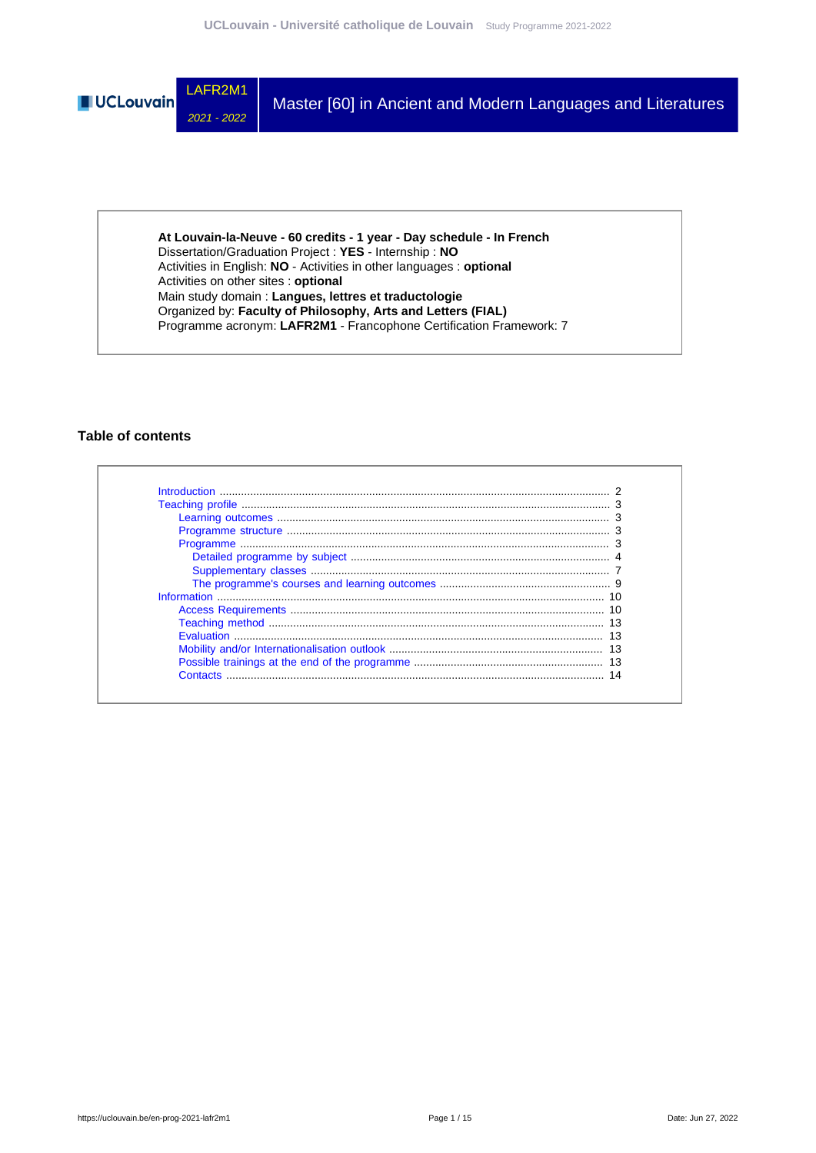

**At Louvain-la-Neuve - 60 credits - 1 year - Day schedule - In French** Dissertation/Graduation Project : **YES** - Internship : **NO** Activities in English: **NO** - Activities in other languages : **optional** Activities on other sites : **optional** Main study domain : **Langues, lettres et traductologie** Organized by: **Faculty of Philosophy, Arts and Letters (FIAL)** Programme acronym: **LAFR2M1** - Francophone Certification Framework: 7

### **Table of contents**

| Contacts |  |
|----------|--|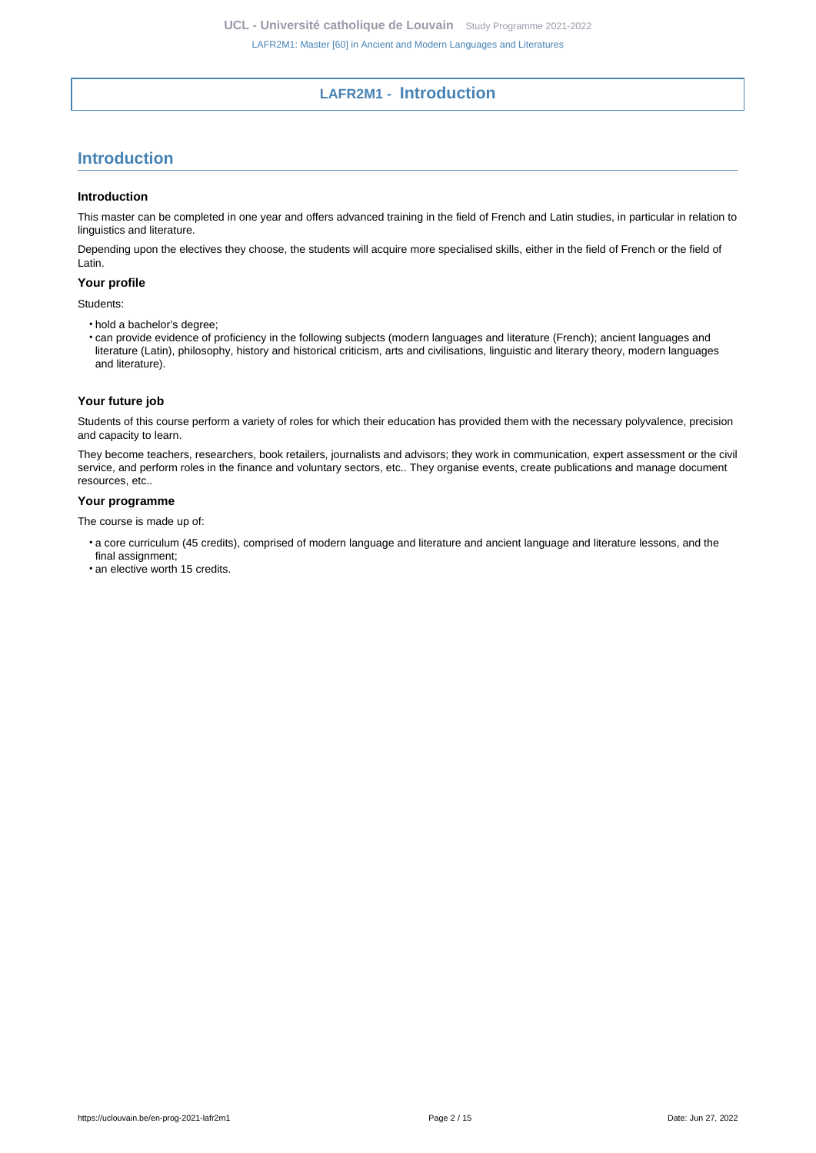# **LAFR2M1 - Introduction**

# <span id="page-1-0"></span>**Introduction**

### **Introduction**

This master can be completed in one year and offers advanced training in the field of French and Latin studies, in particular in relation to linguistics and literature.

Depending upon the electives they choose, the students will acquire more specialised skills, either in the field of French or the field of Latin.

### **Your profile**

#### Students:

- hold a bachelor's degree;
- can provide evidence of proficiency in the following subjects (modern languages and literature (French); ancient languages and literature (Latin), philosophy, history and historical criticism, arts and civilisations, linguistic and literary theory, modern languages and literature).

### **Your future job**

Students of this course perform a variety of roles for which their education has provided them with the necessary polyvalence, precision and capacity to learn.

They become teachers, researchers, book retailers, journalists and advisors; they work in communication, expert assessment or the civil service, and perform roles in the finance and voluntary sectors, etc.. They organise events, create publications and manage document resources, etc..

### **Your programme**

The course is made up of:

- a core curriculum (45 credits), comprised of modern language and literature and ancient language and literature lessons, and the final assignment;
- an elective worth 15 credits.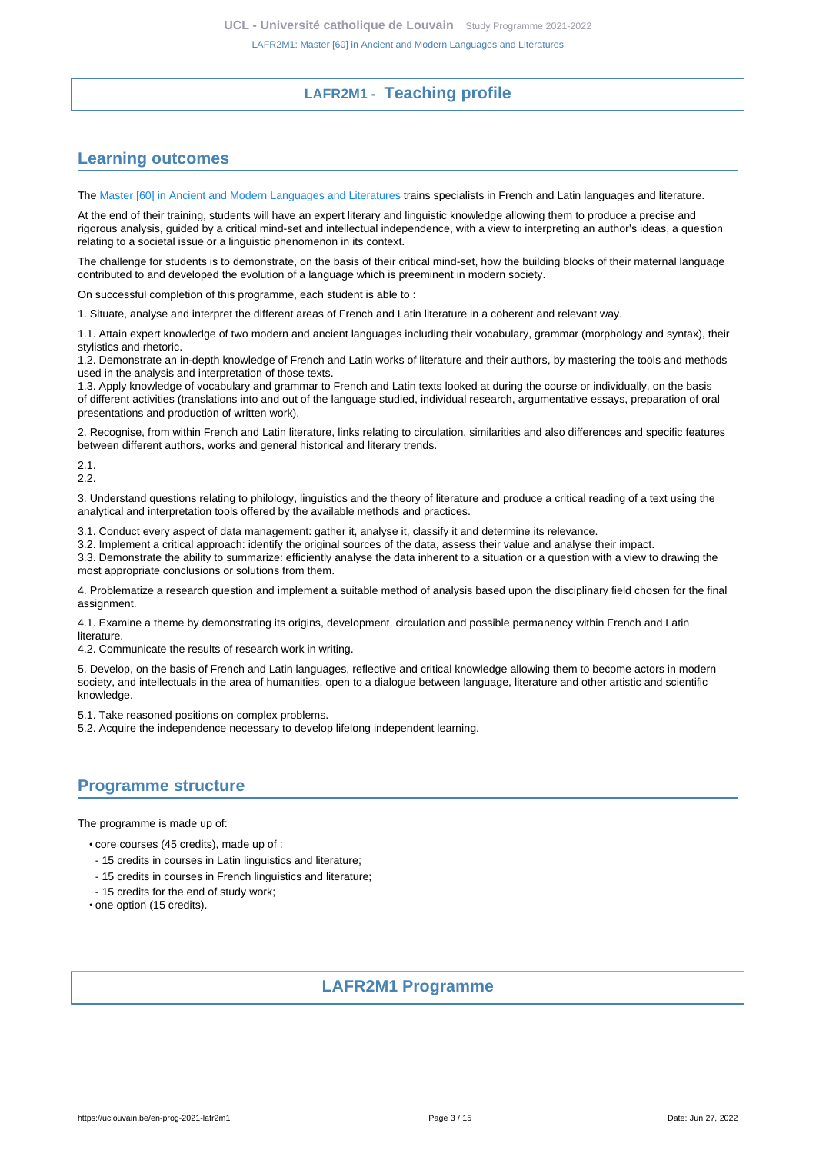# **LAFR2M1 - Teaching profile**

# <span id="page-2-1"></span><span id="page-2-0"></span>**Learning outcomes**

The [Master \[60\] in Ancient and Modern Languages and Literatures](https://uclouvain.be/en-prog-2021-lafr2m1) trains specialists in French and Latin languages and literature.

At the end of their training, students will have an expert literary and linguistic knowledge allowing them to produce a precise and rigorous analysis, guided by a critical mind-set and intellectual independence, with a view to interpreting an author's ideas, a question relating to a societal issue or a linguistic phenomenon in its context.

The challenge for students is to demonstrate, on the basis of their critical mind-set, how the building blocks of their maternal language contributed to and developed the evolution of a language which is preeminent in modern society.

On successful completion of this programme, each student is able to :

1. Situate, analyse and interpret the different areas of French and Latin literature in a coherent and relevant way.

1.1. Attain expert knowledge of two modern and ancient languages including their vocabulary, grammar (morphology and syntax), their stylistics and rhetoric.

1.2. Demonstrate an in-depth knowledge of French and Latin works of literature and their authors, by mastering the tools and methods used in the analysis and interpretation of those texts.

1.3. Apply knowledge of vocabulary and grammar to French and Latin texts looked at during the course or individually, on the basis of different activities (translations into and out of the language studied, individual research, argumentative essays, preparation of oral presentations and production of written work).

2. Recognise, from within French and Latin literature, links relating to circulation, similarities and also differences and specific features between different authors, works and general historical and literary trends.

2.1. 2.2.

3. Understand questions relating to philology, linguistics and the theory of literature and produce a critical reading of a text using the analytical and interpretation tools offered by the available methods and practices.

3.1. Conduct every aspect of data management: gather it, analyse it, classify it and determine its relevance.

3.2. Implement a critical approach: identify the original sources of the data, assess their value and analyse their impact.

3.3. Demonstrate the ability to summarize: efficiently analyse the data inherent to a situation or a question with a view to drawing the most appropriate conclusions or solutions from them.

4. Problematize a research question and implement a suitable method of analysis based upon the disciplinary field chosen for the final assignment.

4.1. Examine a theme by demonstrating its origins, development, circulation and possible permanency within French and Latin literature.

4.2. Communicate the results of research work in writing.

5. Develop, on the basis of French and Latin languages, reflective and critical knowledge allowing them to become actors in modern society, and intellectuals in the area of humanities, open to a dialogue between language, literature and other artistic and scientific knowledge.

5.1. Take reasoned positions on complex problems.

5.2. Acquire the independence necessary to develop lifelong independent learning.

# <span id="page-2-2"></span>**Programme structure**

The programme is made up of:

- core courses (45 credits), made up of :
- 15 credits in courses in Latin linguistics and literature;
- 15 credits in courses in French linguistics and literature;
- 15 credits for the end of study work;
- <span id="page-2-3"></span>• one option (15 credits).

# **LAFR2M1 Programme**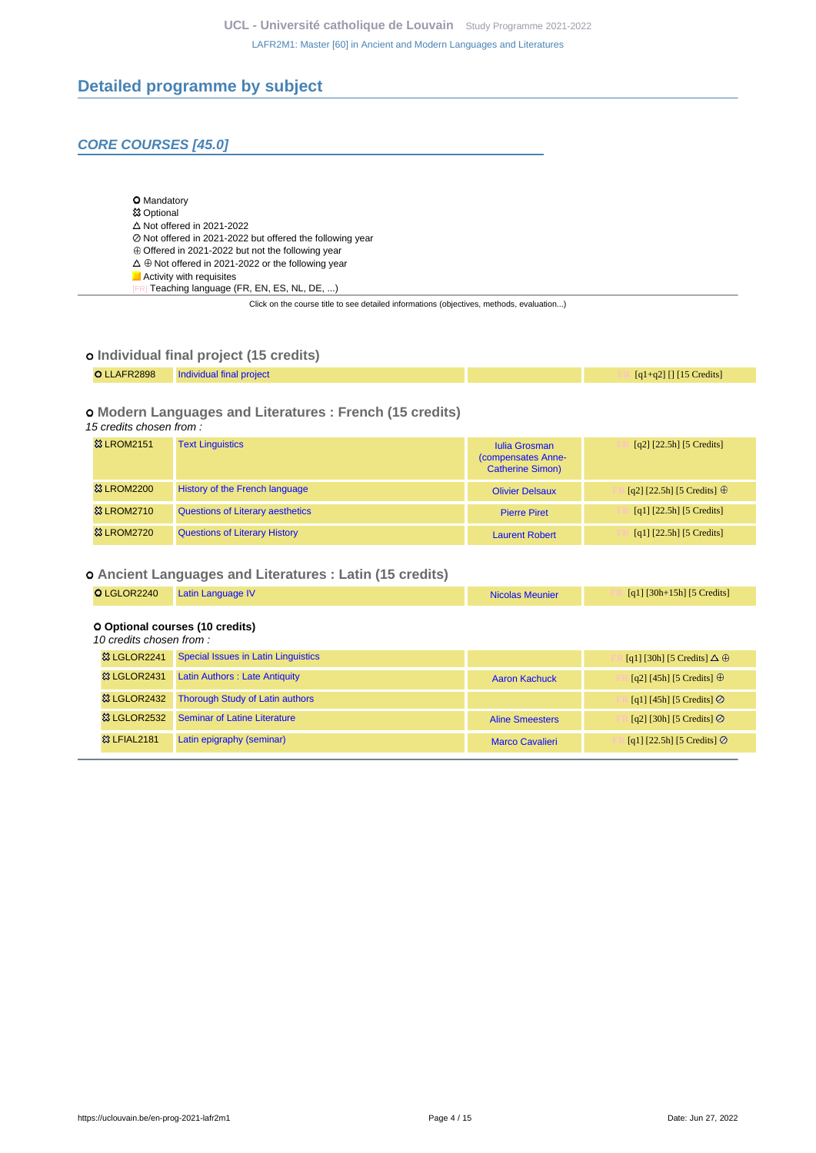# <span id="page-3-0"></span>**Detailed programme by subject**

# **CORE COURSES [45.0]**

|  | <b>O</b> Mandatory |
|--|--------------------|
|--|--------------------|

#### **83 Optional**  $\Delta$  Not offered in 2021-2022

- Not offered in 2021-2022 but offered the following year
- $\oplus$  Offered in 2021-2022 but not the following year
- $\Delta \oplus$  Not offered in 2021-2022 or the following year
- **Activity with requisites** 
	- २] Teaching language (FR, EN, ES, NL, DE, ...)

Click on the course title to see detailed informations (objectives, methods, evaluation...)

### **Individual final project (15 credits)**

| O LLAFR2898 Individual final project | $[q1+q2]$ [] [15 Credits] |
|--------------------------------------|---------------------------|
|                                      |                           |

### **Modern Languages and Literatures : French (15 credits)**

| 15 credits chosen from: |                                         |                                                                       |                                   |  |
|-------------------------|-----------------------------------------|-----------------------------------------------------------------------|-----------------------------------|--|
| <b>&amp; LROM2151</b>   | <b>Text Linguistics</b>                 | <b>Iulia Grosman</b><br>(compensates Anne-<br><b>Catherine Simon)</b> | $[q2]$ [22.5h] [5 Credits]        |  |
| <b>&amp; LROM2200</b>   | <b>History of the French language</b>   | <b>Olivier Delsaux</b>                                                | [q2] [22.5h] [5 Credits] $\oplus$ |  |
| <b>&amp; LROM2710</b>   | <b>Questions of Literary aesthetics</b> | <b>Pierre Piret</b>                                                   | [q1] $[22.5h]$ [5 Credits]        |  |
| <b>&amp; LROM2720</b>   | <b>Questions of Literary History</b>    | <b>Laurent Robert</b>                                                 | [q1] [22.5h] [5 Credits]          |  |

### **Ancient Languages and Literatures : Latin (15 credits)**

| O LGLOR2240             | Latin Language IV                          | <b>Nicolas Meunier</b> | $\lceil q_1 \rceil \lceil 30h + 15h \rceil$ [5 Credits] |
|-------------------------|--------------------------------------------|------------------------|---------------------------------------------------------|
| 10 credits chosen from: | O Optional courses (10 credits)            |                        |                                                         |
| 33 LGLOR2241            | <b>Special Issues in Latin Linguistics</b> |                        | [q1] [30h] [5 Credits] $\Delta \oplus$                  |
| 33 LGLOR2431            | <b>Latin Authors: Late Antiquity</b>       | <b>Aaron Kachuck</b>   | [q2] [45h] [5 Credits] $\oplus$                         |
| <b>&amp; LGLOR2432</b>  | <b>Thorough Study of Latin authors</b>     |                        | [q1] [45h] [5 Credits] $\odot$                          |
| <b>&amp;LGLOR2532</b>   | Seminar of Latine Literature               | <b>Aline Smeesters</b> | [q2] [30h] [5 Credits] $\oslash$                        |
| <b>83 LFIAL2181</b>     | Latin epigraphy (seminar)                  | <b>Marco Cavalieri</b> | [q1] [22.5h] [5 Credits] $\odot$                        |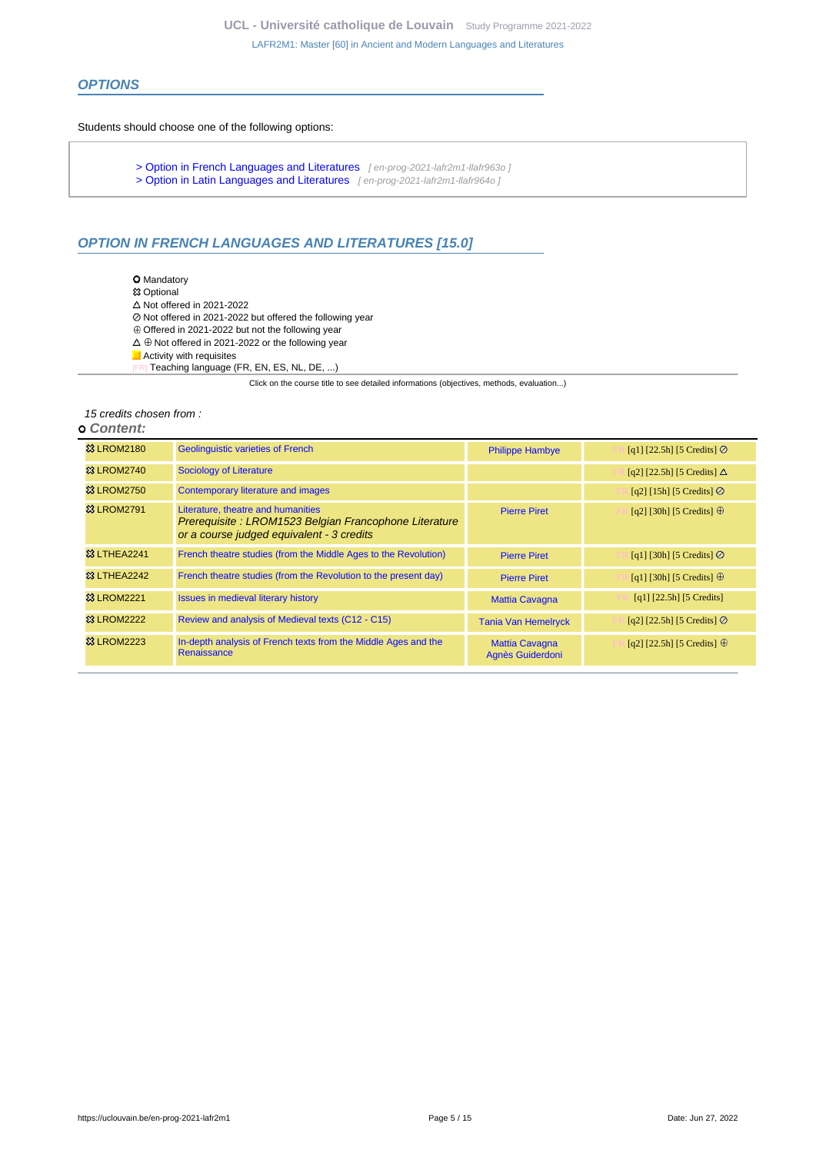### **OPTIONS**

#### Students should choose one of the following options:

- [> Option in French Languages and Literatures](en-prog-2021-lafr2m1-llafr963o) [en-prog-2021-lafr2m1-llafr963o]
- [> Option in Latin Languages and Literatures](en-prog-2021-lafr2m1-llafr964o) [en-prog-2021-lafr2m1-llafr964o]

# **OPTION IN FRENCH LANGUAGES AND LITERATURES [15.0]**

- O Mandatory
- **惢 Optional**
- $\triangle$  Not offered in 2021-2022
- Not shored in 2021-2022 but offered the following year
- $\oplus$  Offered in 2021-2022 but not the following year  $\Delta \oplus$  Not offered in 2021-2022 or the following year
- 
- Activity with requisites [FR] Teaching language (FR, EN, ES, NL, DE, ...)

Click on the course title to see detailed informations (objectives, methods, evaluation...)

#### 15 credits chosen from :

#### **Content:**

| <b>&amp; LROM2180</b>  | <b>Geolinguistic varieties of French</b>                                                                                                 | <b>Philippe Hambye</b>                    | [q1] [22.5h] [5 Credits] $\oslash$ |
|------------------------|------------------------------------------------------------------------------------------------------------------------------------------|-------------------------------------------|------------------------------------|
| <b>&amp; LROM2740</b>  | <b>Sociology of Literature</b>                                                                                                           |                                           | [q2] [22.5h] [5 Credits] $\Delta$  |
| <b>&amp; LROM2750</b>  | <b>Contemporary literature and images</b>                                                                                                |                                           | [q2] [15h] [5 Credits] $\odot$     |
| <b>&amp; LROM2791</b>  | Literature, theatre and humanities<br>Prerequisite: LROM1523 Belgian Francophone Literature<br>or a course judged equivalent - 3 credits | <b>Pierre Piret</b>                       | [q2] [30h] [5 Credits] $\oplus$    |
| 33 LTHEA2241           | French theatre studies (from the Middle Ages to the Revolution)                                                                          | <b>Pierre Piret</b>                       | [q1] [30h] [5 Credits] $\odot$     |
| <b>&amp; LTHEA2242</b> | French theatre studies (from the Revolution to the present day)                                                                          | <b>Pierre Piret</b>                       | [q1] [30h] [5 Credits] $\oplus$    |
| <b>23 LROM2221</b>     | <b>Issues in medieval literary history</b>                                                                                               | <b>Mattia Cavagna</b>                     | $[q1]$ [22.5h] [5 Credits]         |
| <b>&amp; LROM2222</b>  | Review and analysis of Medieval texts (C12 - C15)                                                                                        | <b>Tania Van Hemelryck</b>                | [q2] [22.5h] [5 Credits] $\odot$   |
| <b>&amp; LROM2223</b>  | In-depth analysis of French texts from the Middle Ages and the<br><b>Renaissance</b>                                                     | <b>Mattia Cavagna</b><br>Agnès Guiderdoni | [q2] [22.5h] [5 Credits] $\oplus$  |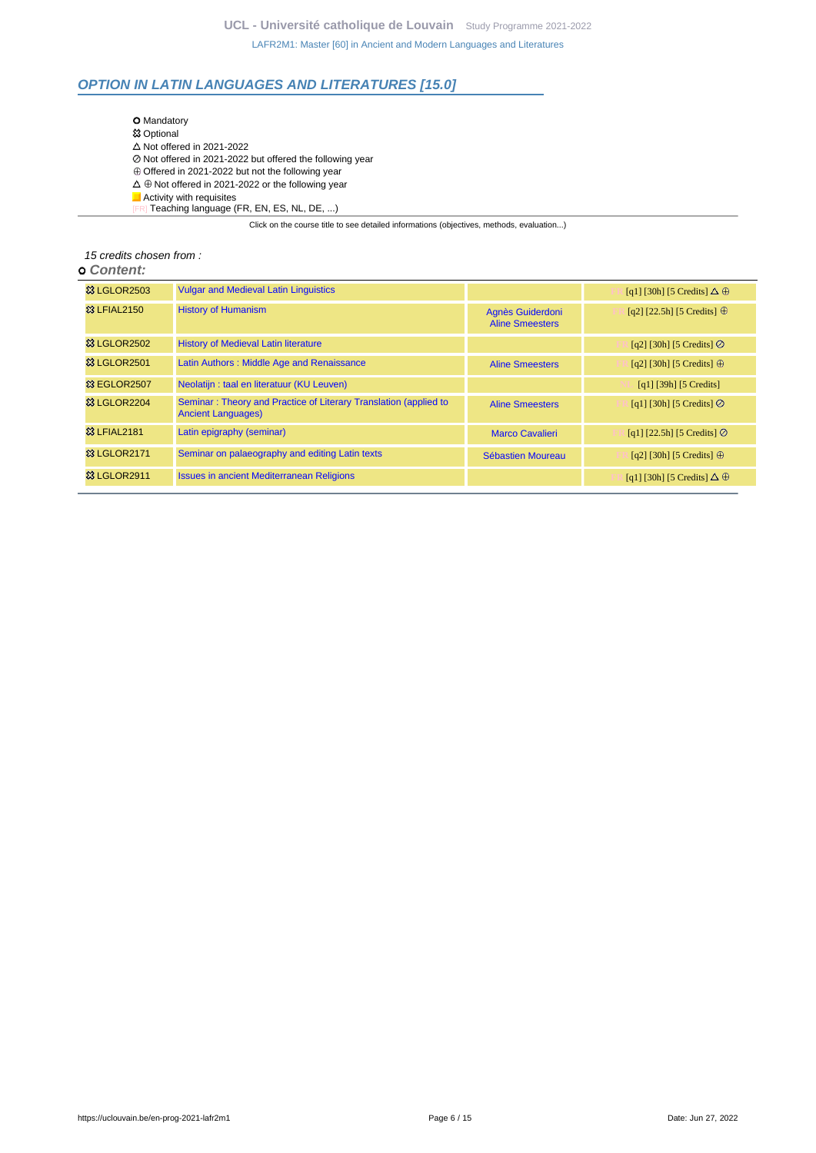# **OPTION IN LATIN LANGUAGES AND LITERATURES [15.0]**

**O** Mandatory **83 Optional**  $\triangle$  Not offered in 2021-2022 Not offered in 2021-2022 but offered the following year  $\oplus$  Offered in 2021-2022 but not the following year  $\Delta \oplus$  Not offered in 2021-2022 or the following year  $\Box$  Activity with requisites Ricting matter and the FR, EN, ES, NL, DE, ...)

Click on the course title to see detailed informations (objectives, methods, evaluation...)

### 15 credits chosen from :

### **Content:**

| <b>&amp; LGLOR2503</b>  | <b>Vulgar and Medieval Latin Linguistics</b>                                                  |                                            | [q1] [30h] [5 Credits] $\Delta \oplus$ |
|-------------------------|-----------------------------------------------------------------------------------------------|--------------------------------------------|----------------------------------------|
| <b>&amp; LFIAL2150</b>  | <b>History of Humanism</b>                                                                    | Agnès Guiderdoni<br><b>Aline Smeesters</b> | [q2] [22.5h] [5 Credits] $\oplus$      |
| <b>&amp; LGLOR2502</b>  | <b>History of Medieval Latin literature</b>                                                   |                                            | [q2] [30h] [5 Credits] $\oslash$       |
| 83 LGLOR2501            | Latin Authors: Middle Age and Renaissance                                                     | <b>Aline Smeesters</b>                     | [q2] [30h] [5 Credits] $\oplus$        |
| <sup>33</sup> EGLOR2507 | Neolatijn: taal en literatuur (KU Leuven)                                                     |                                            | $[q1]$ [39h] [5 Credits]               |
| 33 LGLOR2204            | Seminar: Theory and Practice of Literary Translation (applied to<br><b>Ancient Languages)</b> | <b>Aline Smeesters</b>                     | [q1] [30h] [5 Credits] $\oslash$       |
| <b>83 LFIAL2181</b>     | Latin epigraphy (seminar)                                                                     | <b>Marco Cavalieri</b>                     | [q1] [22.5h] [5 Credits] $\oslash$     |
| 33 LGLOR2171            | Seminar on palaeography and editing Latin texts                                               | Sébastien Moureau                          | [q2] [30h] [5 Credits] $\oplus$        |
| 83 LGLOR2911            | <b>Issues in ancient Mediterranean Religions</b>                                              |                                            | [q1] [30h] [5 Credits] $\Delta \oplus$ |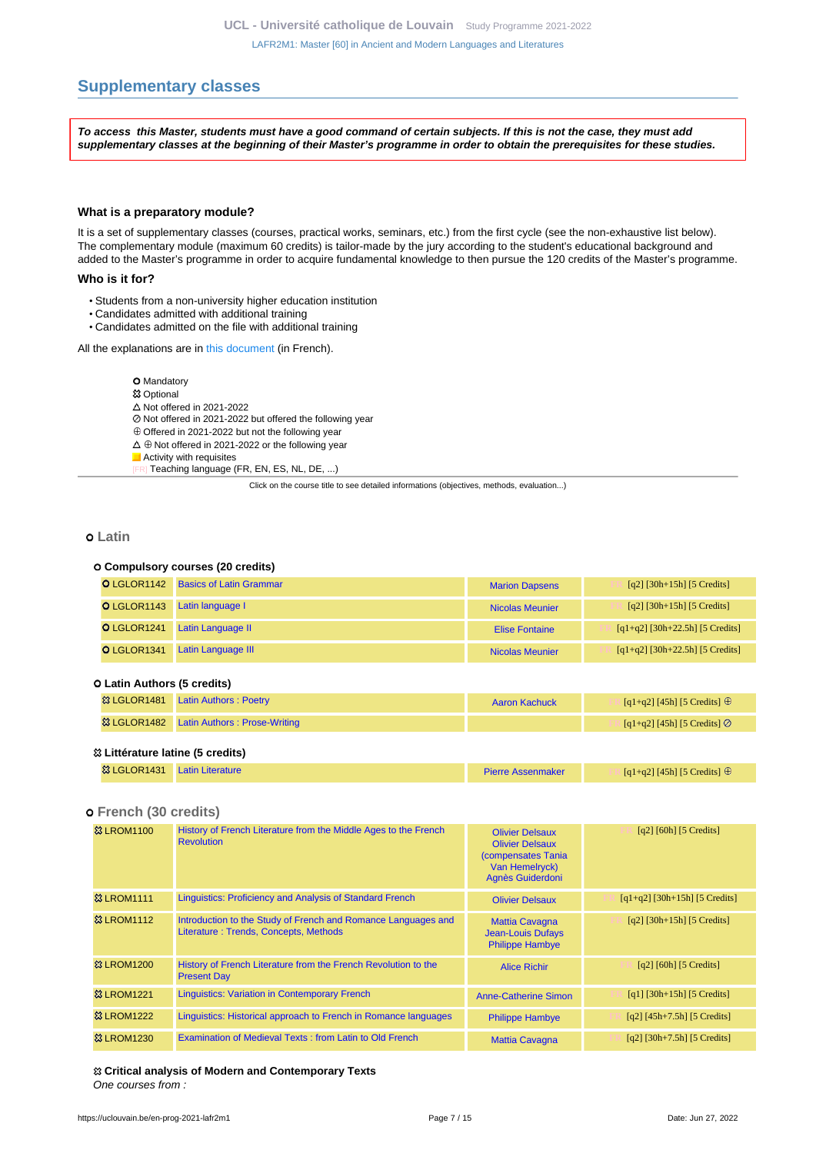# <span id="page-6-0"></span>**Supplementary classes**

**To access this Master, students must have a good command of certain subjects. If this is not the case, they must add supplementary classes at the beginning of their Master's programme in order to obtain the prerequisites for these studies.**

#### **What is a preparatory module?**

It is a set of supplementary classes (courses, practical works, seminars, etc.) from the first cycle (see the non-exhaustive list below). The complementary module (maximum 60 credits) is tailor-made by the jury according to the student's educational background and added to the Master's programme in order to acquire fundamental knowledge to then pursue the 120 credits of the Master's programme.

#### **Who is it for?**

- Students from a non-university higher education institution
- Candidates admitted with additional training
- Candidates admitted on the file with additional training

All the explanations are in [this document](https://cdn.uclouvain.be/cdn-osis/ppe/2021/fial/documents/FIAL_module_compl%C3%A9mentaire.pdf) (in French).

#### **O** Mandatory

- 83 Optional
- $\Delta$  Not offered in 2021-2022
- Not offered in 2021-2022 but offered the following year
- $\oplus$  Offered in 2021-2022 but not the following year
- $\Delta \oplus$  Not offered in 2021-2022 or the following year
- **Activity with requisites**

Teaching language (FR, EN, ES, NL, DE, ...)

Click on the course title to see detailed informations (objectives, methods, evaluation...)

### **Latin**

#### **Compulsory courses (20 credits)**

| <b>O</b> LGLOR1142 Basics of Latin Grammar | <b>Marion Dapsens</b>  | $[q2]$ [30h+15h] [5 Credits]      |
|--------------------------------------------|------------------------|-----------------------------------|
| O LGLOR1143 Latin language I               | <b>Nicolas Meunier</b> | $[q2]$ [30h+15h] [5 Credits]      |
| O LGLOR1241 Latin Language II              | Elise Fontaine         | $[q1+q2]$ [30h+22.5h] [5 Credits] |
| O LGLOR1341 Latin Language III             | <b>Nicolas Meunier</b> | $[q1+q2]$ [30h+22.5h] [5 Credits] |

#### **Latin Authors (5 credits)**

| ※ LGLOR1481 Latin Authors: Poetry                   | Aaron Kachuck | $\lceil q_1 + q_2 \rceil$ [45h] [5 Credits] $\oplus$    |
|-----------------------------------------------------|---------------|---------------------------------------------------------|
| <b>&amp; LGLOR1482</b> Latin Authors: Prose-Writing |               | $\lceil \frac{q1+q2}{45h} \rceil$ [5 Credits] $\oslash$ |
| <sup>23</sup> Littérature latine (5 credits)        |               |                                                         |

| <sup>83</sup> LGLOR1431 Latin Literature | <b>Pierre Assenmaker</b> | $[q1+q2]$ [45h] [5 Credits] $\oplus$ |
|------------------------------------------|--------------------------|--------------------------------------|

### **French (30 credits)**

| <b>&amp; LROM1100</b>  | History of French Literature from the Middle Ages to the French<br><b>Revolution</b>                   | <b>Olivier Delsaux</b><br><b>Olivier Delsaux</b><br><b>Compensates Tania</b><br>Van Hemelryck)<br>Agnès Guiderdoni | $\lceil q^2 \rceil$ [60h] [5 Credits] |
|------------------------|--------------------------------------------------------------------------------------------------------|--------------------------------------------------------------------------------------------------------------------|---------------------------------------|
| <b>23 LROM1111</b>     | <b>Linguistics: Proficiency and Analysis of Standard French</b>                                        | <b>Olivier Delsaux</b>                                                                                             | $[q1+q2]$ [30h+15h] [5 Credits]       |
| <b>&amp;3 LROM1112</b> | Introduction to the Study of French and Romance Languages and<br>Literature: Trends, Concepts, Methods | <b>Mattia Cavagna</b><br><b>Jean-Louis Dufays</b><br><b>Philippe Hambye</b>                                        | $[q2]$ [30h+15h] [5 Credits]          |
| <b>&amp;3 LROM1200</b> | History of French Literature from the French Revolution to the<br><b>Present Day</b>                   | <b>Alice Richir</b>                                                                                                | $\lceil q^2 \rceil$ [60h] [5 Credits] |
| <b>&amp; LROM1221</b>  | <b>Linguistics: Variation in Contemporary French</b>                                                   | Anne-Catherine Simon                                                                                               | $[q1]$ [30h+15h] [5 Credits]          |
| <b>&amp; LROM1222</b>  | Linguistics: Historical approach to French in Romance languages                                        | <b>Philippe Hambye</b>                                                                                             | $[q2]$ [45h+7.5h] [5 Credits]         |
| <b>&amp; LROM1230</b>  | Examination of Medieval Texts: from Latin to Old French                                                | <b>Mattia Cavagna</b>                                                                                              | $[q2]$ [30h+7.5h] [5 Credits]         |

 **Critical analysis of Modern and Contemporary Texts** One courses from :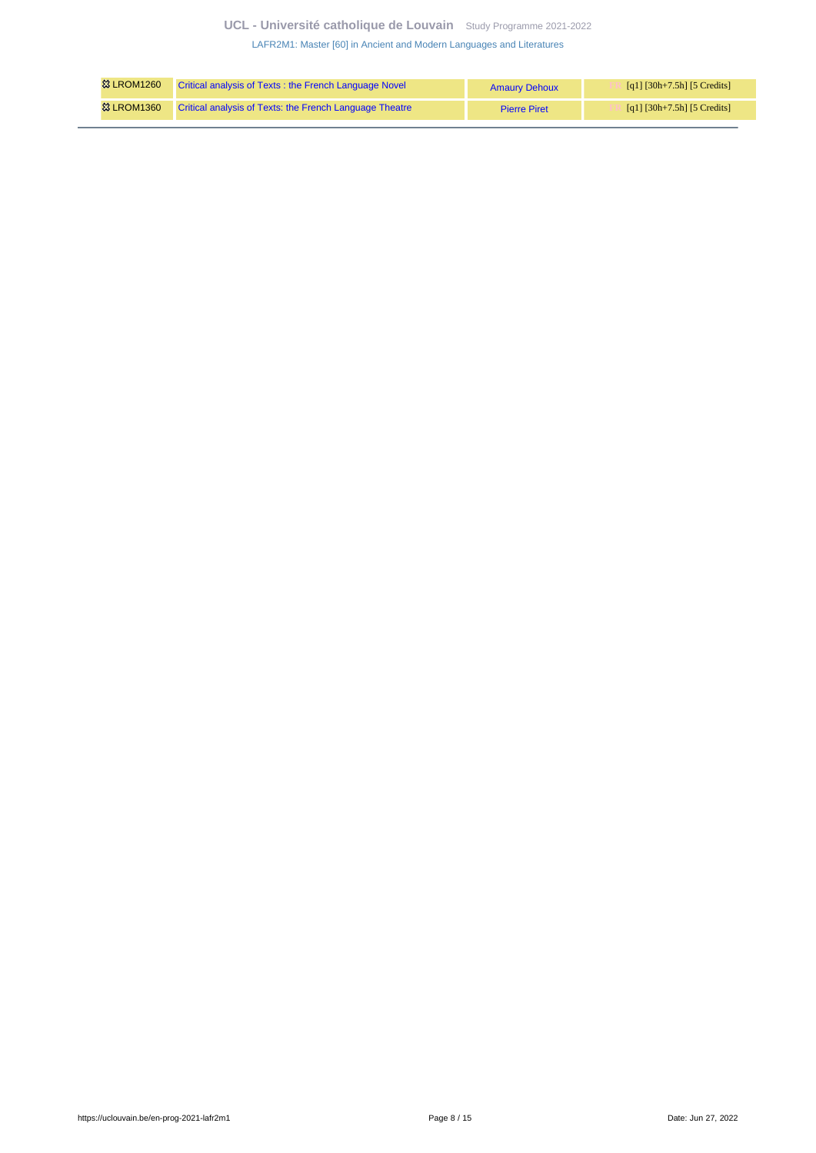# **UCL - Université catholique de Louvain** [Study Programme 2021-2022](https://uclouvain.be/en/study-programme)

[LAFR2M1: Master \[60\] in Ancient and Modern Languages and Literatures](https://uclouvain.be/en-prog-2021-lafr2m1.html)

| <b>83 LROM1260</b> | Critical analysis of Texts: the French Language Novel   | <b>Amaury Dehoux</b> | [q1] $[30h+7.5h]$ [5 Credits] |
|--------------------|---------------------------------------------------------|----------------------|-------------------------------|
| <b>83 LROM1360</b> | Critical analysis of Texts: the French Language Theatre | <b>Pierre Piret</b>  | [q1] $[30h+7.5h]$ [5 Credits] |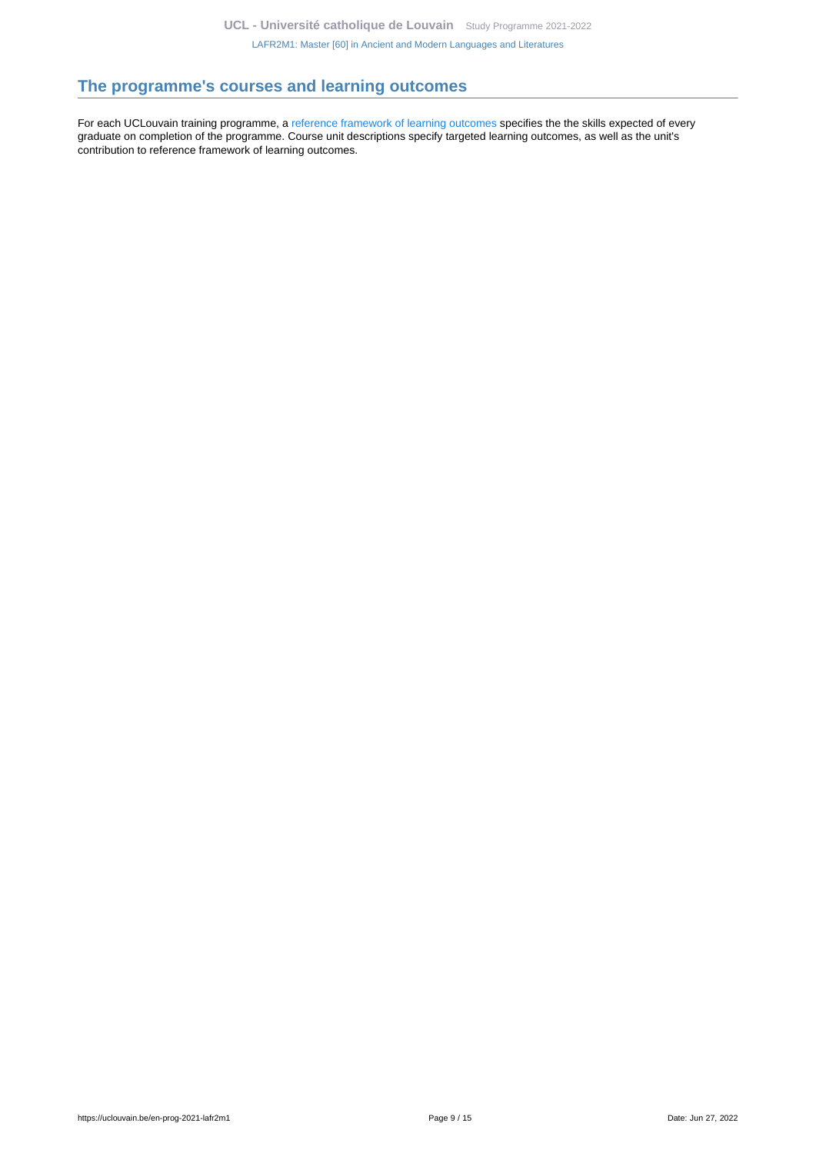# <span id="page-8-0"></span>**The programme's courses and learning outcomes**

For each UCLouvain training programme, a [reference framework of learning outcomes](https://uclouvain.be/en-prog-2021-lafr2m1-competences_et_acquis.html) specifies the the skills expected of every graduate on completion of the programme. Course unit descriptions specify targeted learning outcomes, as well as the unit's contribution to reference framework of learning outcomes.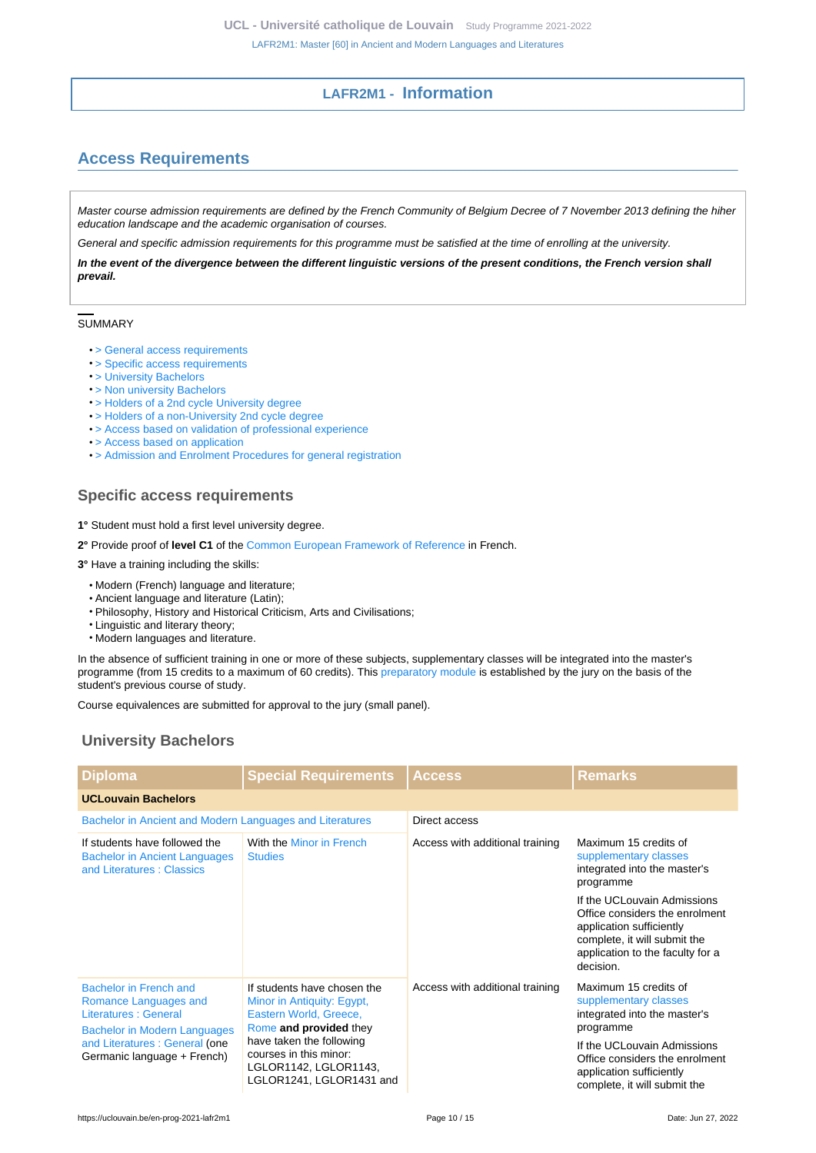# **LAFR2M1 - Information**

# <span id="page-9-1"></span><span id="page-9-0"></span>**Access Requirements**

Master course admission requirements are defined by the French Community of Belgium Decree of 7 November 2013 defining the hiher education landscape and the academic organisation of courses.

General and specific admission requirements for this programme must be satisfied at the time of enrolling at the university.

**In the event of the divergence between the different linguistic versions of the present conditions, the French version shall prevail.**

### SUMMARY

- [> General access requirements](https://uclouvain.be/en-prog-2021-lafr2m1-cond_gen_adm_masters)
- [> Specific access requirements](#page-9-2)
- [> University Bachelors](#page-9-3)
- [> Non university Bachelors](#page-10-0)
- [> Holders of a 2nd cycle University degree](#page-11-0)
- [> Holders of a non-University 2nd cycle degree](#page-11-1)
- [> Access based on validation of professional experience](#page-11-2)
- [> Access based on application](#page-11-3)
- [> Admission and Enrolment Procedures for general registration](#page-11-4)

# <span id="page-9-2"></span>**Specific access requirements**

- **1°** Student must hold a first level university degree.
- **2°** Provide proof of **level C1** of the [Common European Framework of Reference](https://www.coe.int/en/web/common-european-framework-reference-languages/level-descriptions) in French.
- **3°** Have a training including the skills:
	- Modern (French) language and literature;
	- Ancient language and literature (Latin);
	- Philosophy, History and Historical Criticism, Arts and Civilisations;
	- Linguistic and literary theory;
	- Modern languages and literature.

In the absence of sufficient training in one or more of these subjects, supplementary classes will be integrated into the master's programme (from 15 credits to a maximum of 60 credits). This [preparatory module](http://uclouvain.be/en-prog-lafr2m1-module_complementaire) is established by the jury on the basis of the student's previous course of study.

Course equivalences are submitted for approval to the jury (small panel).

# <span id="page-9-3"></span>**University Bachelors**

| <b>Diploma</b>                                                                                                                                                                                                                                                                                                           | <b>Special Requirements</b>                       | <b>Access</b>                   | <b>Remarks</b>                                                                                                                              |  |  |
|--------------------------------------------------------------------------------------------------------------------------------------------------------------------------------------------------------------------------------------------------------------------------------------------------------------------------|---------------------------------------------------|---------------------------------|---------------------------------------------------------------------------------------------------------------------------------------------|--|--|
| <b>UCLouvain Bachelors</b>                                                                                                                                                                                                                                                                                               |                                                   |                                 |                                                                                                                                             |  |  |
| Bachelor in Ancient and Modern Languages and Literatures                                                                                                                                                                                                                                                                 |                                                   | Direct access                   |                                                                                                                                             |  |  |
| If students have followed the<br><b>Bachelor in Ancient Languages</b><br>and Literatures: Classics                                                                                                                                                                                                                       | With the Minor in French<br><b>Studies</b>        | Access with additional training | Maximum 15 credits of<br>supplementary classes<br>integrated into the master's<br>programme<br>If the UCLouvain Admissions                  |  |  |
|                                                                                                                                                                                                                                                                                                                          |                                                   |                                 | Office considers the enrolment<br>application sufficiently<br>complete, it will submit the<br>application to the faculty for a<br>decision. |  |  |
| Bachelor in French and<br>Romance Languages and<br>Minor in Antiquity: Egypt,<br>Literatures : General<br>Eastern World, Greece,<br>Rome and provided they<br><b>Bachelor in Modern Languages</b><br>have taken the following<br>and Literatures : General (one<br>courses in this minor:<br>Germanic language + French) | If students have chosen the                       | Access with additional training | Maximum 15 credits of<br>supplementary classes<br>integrated into the master's<br>programme                                                 |  |  |
|                                                                                                                                                                                                                                                                                                                          | LGLOR1142, LGLOR1143,<br>LGLOR1241, LGLOR1431 and |                                 | If the UCLouvain Admissions<br>Office considers the enrolment<br>application sufficiently<br>complete, it will submit the                   |  |  |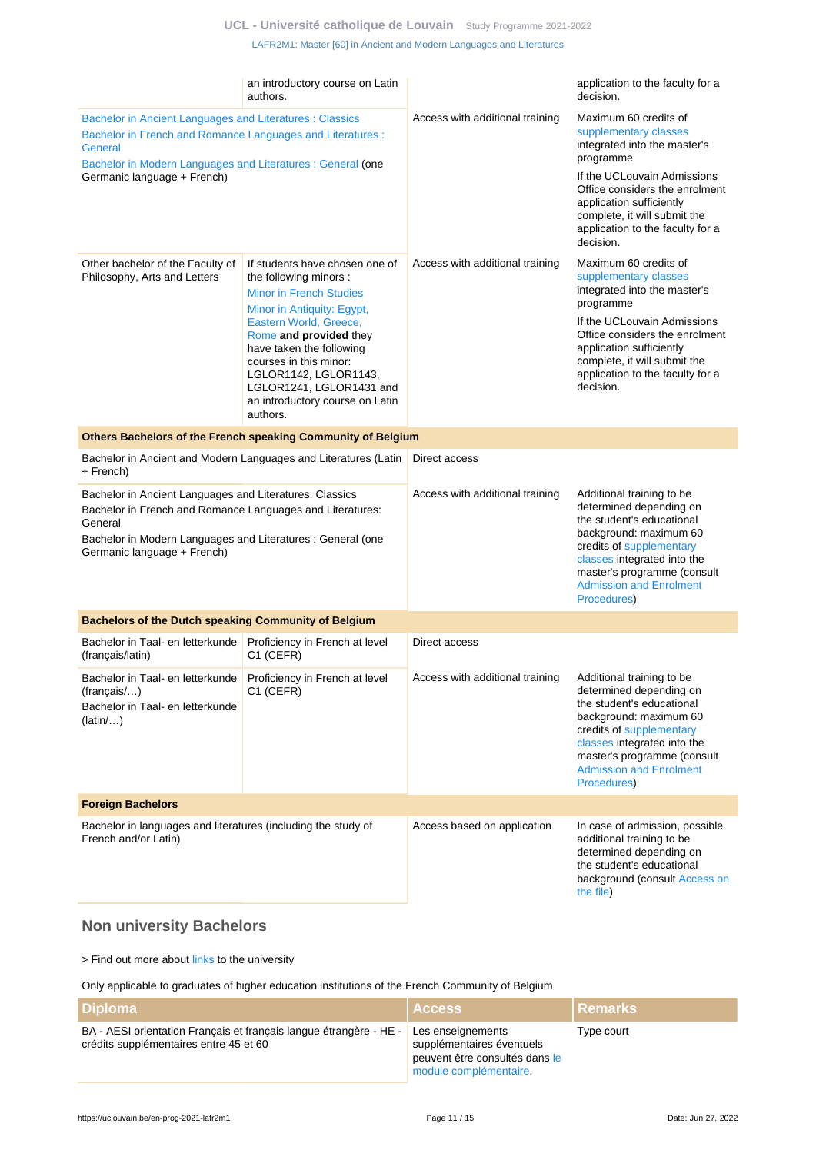### **UCL - Université catholique de Louvain** [Study Programme 2021-2022](https://uclouvain.be/en/study-programme)

[LAFR2M1: Master \[60\] in Ancient and Modern Languages and Literatures](https://uclouvain.be/en-prog-2021-lafr2m1.html)

|                                                                                                                                                                                                                                 | an introductory course on Latin<br>authors.                                                                                                                                                                                                                                                                                            |                                 | application to the faculty for a<br>decision.                                                                                                                                                                                                                             |
|---------------------------------------------------------------------------------------------------------------------------------------------------------------------------------------------------------------------------------|----------------------------------------------------------------------------------------------------------------------------------------------------------------------------------------------------------------------------------------------------------------------------------------------------------------------------------------|---------------------------------|---------------------------------------------------------------------------------------------------------------------------------------------------------------------------------------------------------------------------------------------------------------------------|
| Bachelor in Ancient Languages and Literatures : Classics<br>Bachelor in French and Romance Languages and Literatures :<br>General<br>Bachelor in Modern Languages and Literatures : General (one<br>Germanic language + French) |                                                                                                                                                                                                                                                                                                                                        | Access with additional training | Maximum 60 credits of<br>supplementary classes<br>integrated into the master's<br>programme<br>If the UCLouvain Admissions<br>Office considers the enrolment<br>application sufficiently<br>complete, it will submit the<br>application to the faculty for a<br>decision. |
| Other bachelor of the Faculty of<br>Philosophy, Arts and Letters                                                                                                                                                                | If students have chosen one of<br>the following minors :<br><b>Minor in French Studies</b><br>Minor in Antiquity: Egypt,<br>Eastern World, Greece,<br>Rome and provided they<br>have taken the following<br>courses in this minor:<br>LGLOR1142, LGLOR1143,<br>LGLOR1241, LGLOR1431 and<br>an introductory course on Latin<br>authors. | Access with additional training | Maximum 60 credits of<br>supplementary classes<br>integrated into the master's<br>programme<br>If the UCLouvain Admissions<br>Office considers the enrolment<br>application sufficiently<br>complete, it will submit the<br>application to the faculty for a<br>decision. |
|                                                                                                                                                                                                                                 | Others Bachelors of the French speaking Community of Belgium                                                                                                                                                                                                                                                                           | Direct access                   |                                                                                                                                                                                                                                                                           |
| + French)                                                                                                                                                                                                                       | Bachelor in Ancient and Modern Languages and Literatures (Latin                                                                                                                                                                                                                                                                        |                                 |                                                                                                                                                                                                                                                                           |
| Bachelor in Ancient Languages and Literatures: Classics<br>Bachelor in French and Romance Languages and Literatures:<br>General<br>Bachelor in Modern Languages and Literatures : General (one<br>Germanic language + French)   |                                                                                                                                                                                                                                                                                                                                        | Access with additional training | Additional training to be<br>determined depending on<br>the student's educational<br>background: maximum 60<br>credits of supplementary<br>classes integrated into the<br>master's programme (consult<br><b>Admission and Enrolment</b><br>Procedures)                    |
| <b>Bachelors of the Dutch speaking Community of Belgium</b>                                                                                                                                                                     |                                                                                                                                                                                                                                                                                                                                        |                                 |                                                                                                                                                                                                                                                                           |
| Bachelor in Taal- en letterkunde<br>(français/latin)                                                                                                                                                                            | Proficiency in French at level<br>C1 (CEFR)                                                                                                                                                                                                                                                                                            | Direct access                   |                                                                                                                                                                                                                                                                           |
| Bachelor in Taal- en letterkunde<br>(francais/)<br>Bachelor in Taal- en letterkunde<br>(latin/)                                                                                                                                 | Proficiency in French at level<br>C1 (CEFR)                                                                                                                                                                                                                                                                                            | Access with additional training | Additional training to be<br>determined depending on<br>the student's educational<br>background: maximum 60<br>credits of supplementary<br>classes integrated into the<br>master's programme (consult<br><b>Admission and Enrolment</b><br>Procedures)                    |
| <b>Foreign Bachelors</b>                                                                                                                                                                                                        |                                                                                                                                                                                                                                                                                                                                        |                                 |                                                                                                                                                                                                                                                                           |
| Bachelor in languages and literatures (including the study of<br>French and/or Latin)                                                                                                                                           |                                                                                                                                                                                                                                                                                                                                        | Access based on application     | In case of admission, possible<br>additional training to be<br>determined depending on<br>the student's educational<br>background (consult Access on<br>the file)                                                                                                         |

# <span id="page-10-0"></span>**Non university Bachelors**

> Find out more about [links](https://uclouvain.be/fr/etudier/passerelles) to the university

Only applicable to graduates of higher education institutions of the French Community of Belgium

| l Diploma                                                                                                                      | <b>Access</b>                                                                         | <u>I Remarks</u> |
|--------------------------------------------------------------------------------------------------------------------------------|---------------------------------------------------------------------------------------|------------------|
| BA - AESI orientation Français et français langue étrangère - HE - Les enseignements<br>crédits supplémentaires entre 45 et 60 | supplémentaires éventuels<br>peuvent être consultés dans le<br>module complémentaire. | Type court       |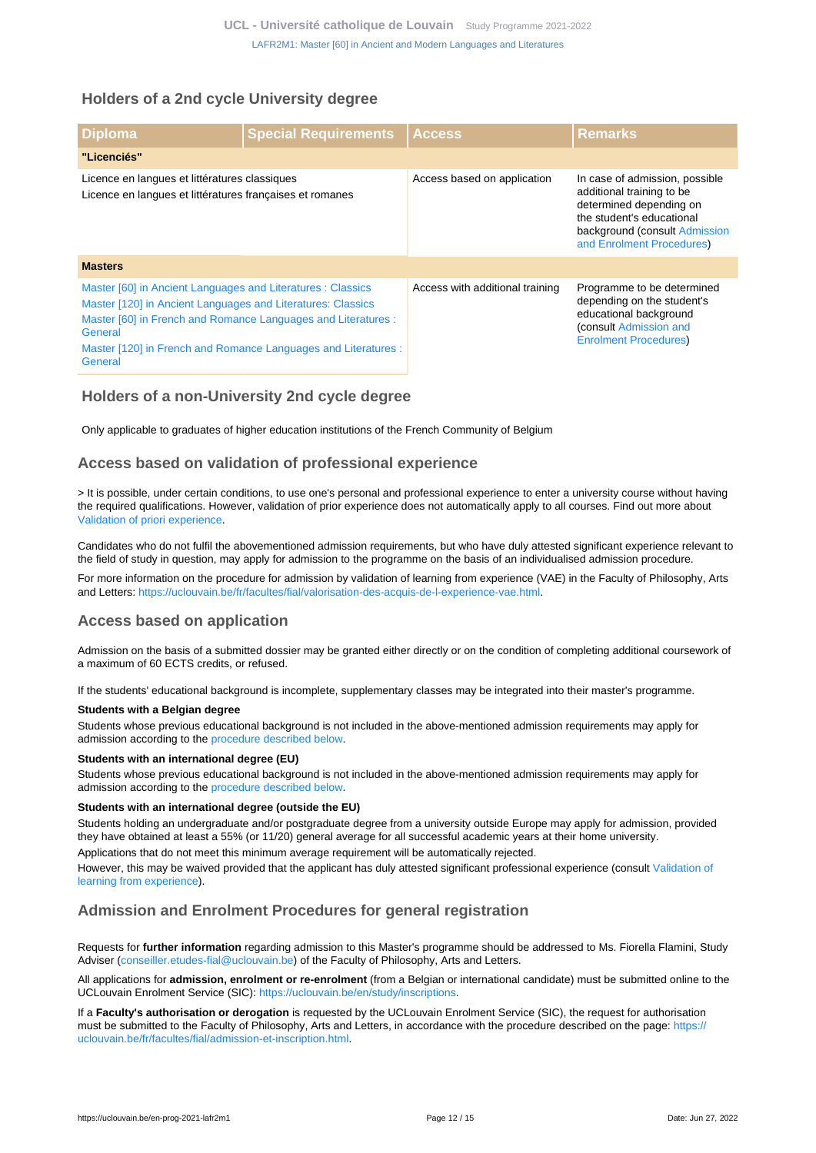# <span id="page-11-0"></span>**Holders of a 2nd cycle University degree**

| <b>Diploma</b>                                                                                                                                                                                                                                                                      | <b>Special Requirements</b> | <b>Access</b>                   | <b>Remarks</b>                                                                                                                                                                    |  |  |
|-------------------------------------------------------------------------------------------------------------------------------------------------------------------------------------------------------------------------------------------------------------------------------------|-----------------------------|---------------------------------|-----------------------------------------------------------------------------------------------------------------------------------------------------------------------------------|--|--|
| "Licenciés"                                                                                                                                                                                                                                                                         |                             |                                 |                                                                                                                                                                                   |  |  |
| Licence en langues et littératures classiques<br>Licence en langues et littératures françaises et romanes                                                                                                                                                                           |                             | Access based on application     | In case of admission, possible<br>additional training to be<br>determined depending on<br>the student's educational<br>background (consult Admission<br>and Enrolment Procedures) |  |  |
| <b>Masters</b>                                                                                                                                                                                                                                                                      |                             |                                 |                                                                                                                                                                                   |  |  |
| Master [60] in Ancient Languages and Literatures : Classics<br>Master [120] in Ancient Languages and Literatures: Classics<br>Master [60] in French and Romance Languages and Literatures :<br>General<br>Master [120] in French and Romance Languages and Literatures :<br>General |                             | Access with additional training | Programme to be determined<br>depending on the student's<br>educational background<br>(consult Admission and<br><b>Enrolment Procedures)</b>                                      |  |  |

# <span id="page-11-1"></span>**Holders of a non-University 2nd cycle degree**

Only applicable to graduates of higher education institutions of the French Community of Belgium

### <span id="page-11-2"></span>**Access based on validation of professional experience**

> It is possible, under certain conditions, to use one's personal and professional experience to enter a university course without having the required qualifications. However, validation of prior experience does not automatically apply to all courses. Find out more about [Validation of priori experience](https://uclouvain.be/en/study/vae).

Candidates who do not fulfil the abovementioned admission requirements, but who have duly attested significant experience relevant to the field of study in question, may apply for admission to the programme on the basis of an individualised admission procedure.

For more information on the procedure for admission by validation of learning from experience (VAE) in the Faculty of Philosophy, Arts and Letters:<https://uclouvain.be/fr/facultes/fial/valorisation-des-acquis-de-l-experience-vae.html>.

### <span id="page-11-3"></span>**Access based on application**

Admission on the basis of a submitted dossier may be granted either directly or on the condition of completing additional coursework of a maximum of 60 ECTS credits, or refused.

If the students' educational background is incomplete, supplementary classes may be integrated into their master's programme.

### **Students with a Belgian degree**

Students whose previous educational background is not included in the above-mentioned admission requirements may apply for admission according to the [procedure described below](https://uclouvain.be/en-prog-lafr2m1-cond_adm#proceduresAdmission).

### **Students with an international degree (EU)**

Students whose previous educational background is not included in the above-mentioned admission requirements may apply for admission according to the [procedure described below](https://uclouvain.be/en-prog-lafr2m1-cond_adm#proceduresAdmission).

### **Students with an international degree (outside the EU)**

Students holding an undergraduate and/or postgraduate degree from a university outside Europe may apply for admission, provided they have obtained at least a 55% (or 11/20) general average for all successful academic years at their home university.

Applications that do not meet this minimum average requirement will be automatically rejected.

However, this may be waived provided that the applicant has duly attested significant professional experience (consult [Validation of](https://uclouvain.be/prog-lafr2m1-cond_adm#adultesRepriseEtudes) [learning from experience\)](https://uclouvain.be/prog-lafr2m1-cond_adm#adultesRepriseEtudes).

### <span id="page-11-4"></span>**Admission and Enrolment Procedures for general registration**

Requests for **further information** regarding admission to this Master's programme should be addressed to Ms. Fiorella Flamini, Study Adviser [\(conseiller.etudes-fial@uclouvain.be](https://uclouvain.be/mailto:conseiller.etudes-fial@uclouvain.be?subject=LAFR2M1%20-%20Information%20request)) of the Faculty of Philosophy, Arts and Letters.

All applications for **admission, enrolment or re-enrolment** (from a Belgian or international candidate) must be submitted online to the UCLouvain Enrolment Service (SIC): [https://uclouvain.be/en/study/inscriptions.](https://uclouvain.be/en/study/inscriptions)

If a **Faculty's authorisation or derogation** is requested by the UCLouvain Enrolment Service (SIC), the request for authorisation must be submitted to the Faculty of Philosophy, Arts and Letters, in accordance with the procedure described on the page: [https://](https://uclouvain.be/fr/facultes/fial/admission-et-inscription.html) [uclouvain.be/fr/facultes/fial/admission-et-inscription.html.](https://uclouvain.be/fr/facultes/fial/admission-et-inscription.html)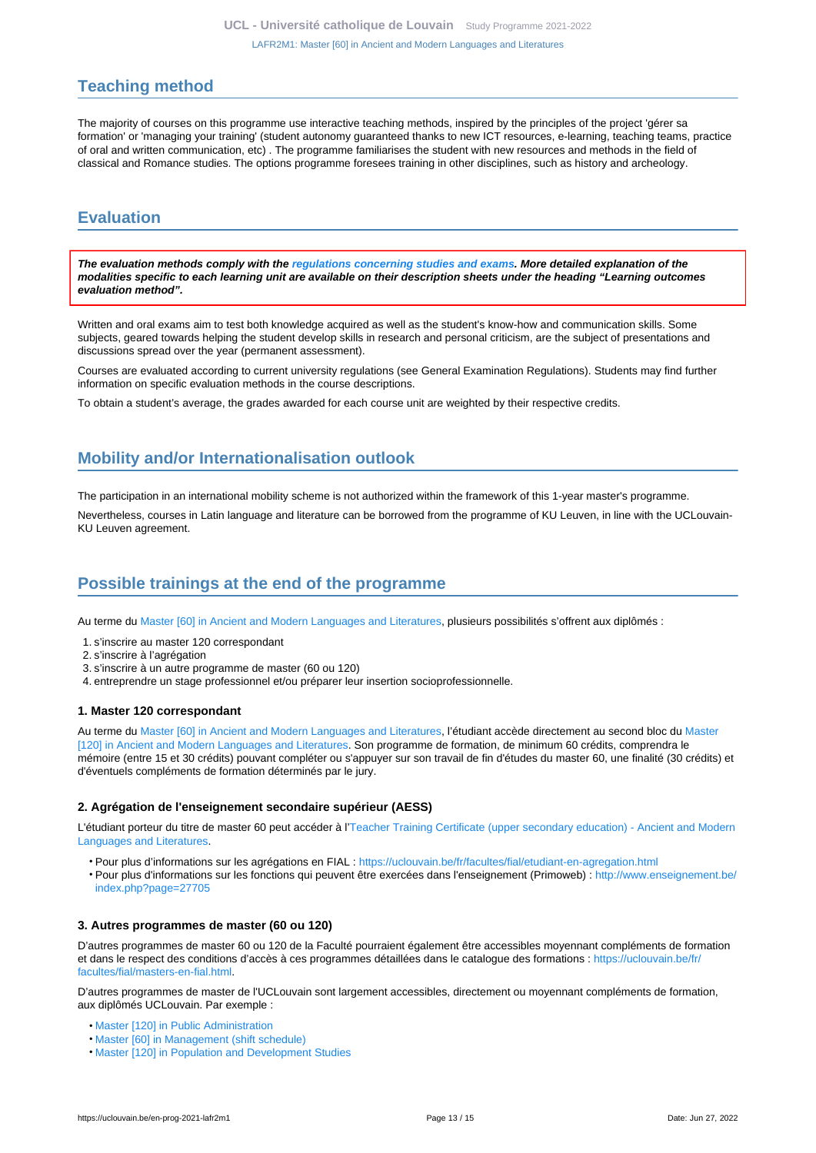# <span id="page-12-0"></span>**Teaching method**

The majority of courses on this programme use interactive teaching methods, inspired by the principles of the project 'gérer sa formation' or 'managing your training' (student autonomy guaranteed thanks to new ICT resources, e-learning, teaching teams, practice of oral and written communication, etc) . The programme familiarises the student with new resources and methods in the field of classical and Romance studies. The options programme foresees training in other disciplines, such as history and archeology.

# <span id="page-12-1"></span>**Evaluation**

**The evaluation methods comply with the [regulations concerning studies and exams](https://uclouvain.be/fr/decouvrir/rgee.html). More detailed explanation of the modalities specific to each learning unit are available on their description sheets under the heading "Learning outcomes evaluation method".**

Written and oral exams aim to test both knowledge acquired as well as the student's know-how and communication skills. Some subjects, geared towards helping the student develop skills in research and personal criticism, are the subject of presentations and discussions spread over the year (permanent assessment).

Courses are evaluated according to current university regulations (see General Examination Regulations). Students may find further information on specific evaluation methods in the course descriptions.

To obtain a student's average, the grades awarded for each course unit are weighted by their respective credits.

# <span id="page-12-2"></span>**Mobility and/or Internationalisation outlook**

The participation in an international mobility scheme is not authorized within the framework of this 1-year master's programme.

Nevertheless, courses in Latin language and literature can be borrowed from the programme of KU Leuven, in line with the UCLouvain-KU Leuven agreement.

# <span id="page-12-3"></span>**Possible trainings at the end of the programme**

Au terme du [Master \[60\] in Ancient and Modern Languages and Literatures](https://uclouvain.be/en-prog-2021-lafr2m1), plusieurs possibilités s'offrent aux diplômés :

- 1. s'inscrire au master 120 correspondant
- 2. s'inscrire à l'agrégation
- 3. s'inscrire à un autre programme de master (60 ou 120)
- 4. entreprendre un stage professionnel et/ou préparer leur insertion socioprofessionnelle.

#### **1. Master 120 correspondant**

Au terme du [Master \[60\] in Ancient and Modern Languages and Literatures](https://uclouvain.be/en-prog-2021-lafr2m1), l'étudiant accède directement au second bloc du [Master](https://uclouvain.be/en-prog-2021-lafr2m) [\[120\] in Ancient and Modern Languages and Literatures](https://uclouvain.be/en-prog-2021-lafr2m). Son programme de formation, de minimum 60 crédits, comprendra le mémoire (entre 15 et 30 crédits) pouvant compléter ou s'appuyer sur son travail de fin d'études du master 60, une finalité (30 crédits) et d'éventuels compléments de formation déterminés par le jury.

#### **2. Agrégation de l'enseignement secondaire supérieur (AESS)**

L'étudiant porteur du titre de master 60 peut accéder à l['Teacher Training Certificate \(upper secondary education\) - Ancient and Modern](https://uclouvain.be/en-prog-2021-lafr2a) [Languages and Literatures.](https://uclouvain.be/en-prog-2021-lafr2a)

- Pour plus d'informations sur les agrégations en FIAL :<https://uclouvain.be/fr/facultes/fial/etudiant-en-agregation.html>
- Pour plus d'informations sur les fonctions qui peuvent être exercées dans l'enseignement (Primoweb) : [http://www.enseignement.be/](http://www.enseignement.be/index.php?page=27705) [index.php?page=27705](http://www.enseignement.be/index.php?page=27705)

#### **3. Autres programmes de master (60 ou 120)**

D'autres programmes de master 60 ou 120 de la Faculté pourraient également être accessibles moyennant compléments de formation et dans le respect des conditions d'accès à ces programmes détaillées dans le catalogue des formations : [https://uclouvain.be/fr/](https://uclouvain.be/fr/facultes/fial/masters-en-fial.html) [facultes/fial/masters-en-fial.html](https://uclouvain.be/fr/facultes/fial/masters-en-fial.html).

D'autres programmes de master de l'UCLouvain sont largement accessibles, directement ou moyennant compléments de formation, aux diplômés UCLouvain. Par exemple :

- [Master \[120\] in Public Administration](https://uclouvain.be/en-prog-2021-adpu2m)
- [Master \[60\] in Management \(shift schedule\)](https://uclouvain.be/en-prog-2021-gehd2m1)
- [Master \[120\] in Population and Development Studies](https://uclouvain.be/en-prog-2021-sped2m)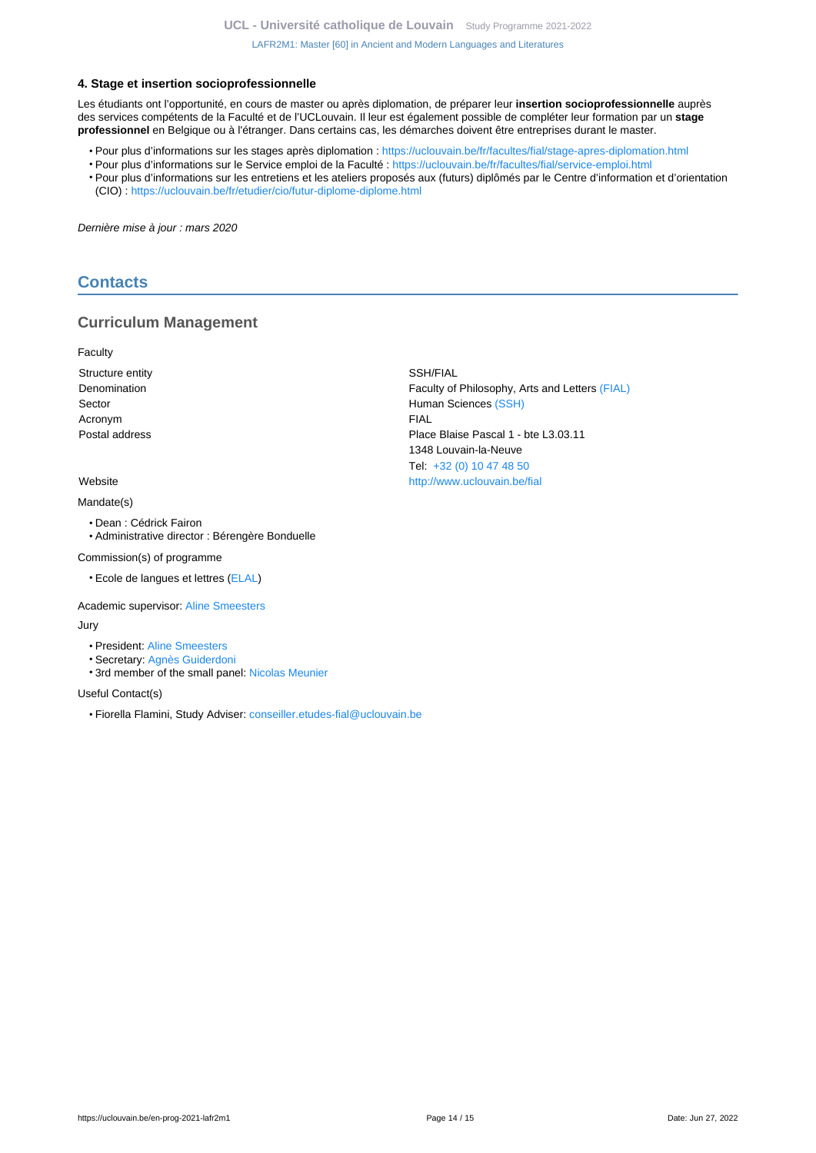### **4. Stage et insertion socioprofessionnelle**

Les étudiants ont l'opportunité, en cours de master ou après diplomation, de préparer leur **insertion socioprofessionnelle** auprès des services compétents de la Faculté et de l'UCLouvain. Il leur est également possible de compléter leur formation par un **stage professionnel** en Belgique ou à l'étranger. Dans certains cas, les démarches doivent être entreprises durant le master.

- Pour plus d'informations sur les stages après diplomation : <https://uclouvain.be/fr/facultes/fial/stage-apres-diplomation.html>
- Pour plus d'informations sur le Service emploi de la Faculté :<https://uclouvain.be/fr/facultes/fial/service-emploi.html>
- Pour plus d'informations sur les entretiens et les ateliers proposés aux (futurs) diplômés par le Centre d'information et d'orientation (CIO) : <https://uclouvain.be/fr/etudier/cio/futur-diplome-diplome.html>

Dernière mise à jour : mars 2020

### <span id="page-13-0"></span>**Contacts**

### **Curriculum Management**

Faculty

Structure entity SSH/FIAL Acronym FIAL

Mandate(s)

- Dean : Cédrick Fairon
- Administrative director : Bérengère Bonduelle

Commission(s) of programme

• Ecole de langues et lettres ([ELAL](https://uclouvain.be/fr/repertoires/entites/ELAL))

Academic supervisor: [Aline Smeesters](https://uclouvain.be/repertoires/aline.smeesters)

Jury

- President: [Aline Smeesters](https://uclouvain.be/repertoires/aline.smeesters)
- Secretary: [Agnès Guiderdoni](https://uclouvain.be/repertoires/agnes.guiderdoni)
- 3rd member of the small panel: [Nicolas Meunier](https://uclouvain.be/repertoires/nicolas.meunier)

Useful Contact(s)

• Fiorella Flamini, Study Adviser: [conseiller.etudes-fial@uclouvain.be](https://uclouvain.be/mailto:conseiller.etudes-fial@uclouvain.be)

Denomination Faculty of Philosophy, Arts and Letters [\(FIAL\)](https://uclouvain.be/repertoires/entites/fial) Sector **Sector Human Sciences** [\(SSH\)](https://uclouvain.be/repertoires/entites/ssh) Postal address Place Blaise Pascal 1 - bte L3.03.11 1348 Louvain-la-Neuve Tel: [+32 \(0\) 10 47 48 50](https://uclouvain.be/tel:+3210474850) Website <http://www.uclouvain.be/fial>